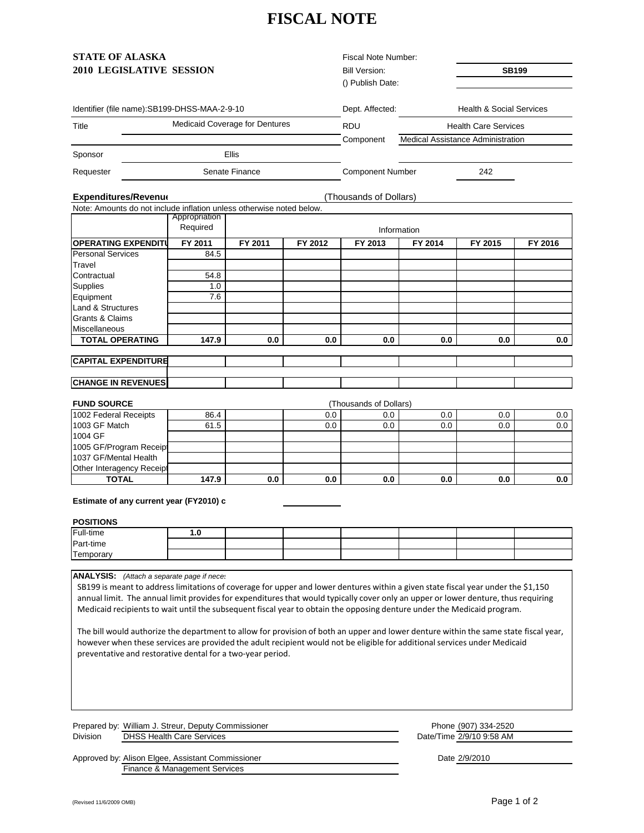# **FISCAL NOTE**

| <b>STATE OF ALASKA</b>          | Fiscal Note Number:  |       |
|---------------------------------|----------------------|-------|
| <b>2010 LEGISLATIVE SESSION</b> | <b>Bill Version:</b> | SB199 |

Identifier (file name):SB199-DHSS-MAA-2-9-10

Fiscal Note Number: Bill Version: () Publish Date:

Component

Dept. Affected: Health & Social Services

Title **Realt Additional Coverage for Dentures** RDU ROU Health Care Services Medical Assistance Administration

Sponsor

Expenditures/Revenue **Expenditures/Revenue Expenditures/Revenue (Thousands of Dollars)** Note: Amounts do not include inflation unless otherwise noted below.

Senate Finance

Ellis

| INOTE. ATTIOUTILS GO HOT INCIDENT INTERIOR THRESS OTHERWISE HOTEL DEIDW. |               |             |         |         |         |         |         |
|--------------------------------------------------------------------------|---------------|-------------|---------|---------|---------|---------|---------|
|                                                                          | Appropriation |             |         |         |         |         |         |
|                                                                          | Required      | Information |         |         |         |         |         |
| <b>OPERATING EXPENDITU</b>                                               | FY 2011       | FY 2011     | FY 2012 | FY 2013 | FY 2014 | FY 2015 | FY 2016 |
| <b>Personal Services</b>                                                 | 84.5          |             |         |         |         |         |         |
| Travel                                                                   |               |             |         |         |         |         |         |
| Contractual                                                              | 54.8          |             |         |         |         |         |         |
| Supplies                                                                 | 1.0           |             |         |         |         |         |         |
| Equipment                                                                | 7.6           |             |         |         |         |         |         |
| Land & Structures                                                        |               |             |         |         |         |         |         |
| <b>Grants &amp; Claims</b>                                               |               |             |         |         |         |         |         |
| <b>Miscellaneous</b>                                                     |               |             |         |         |         |         |         |
| <b>TOTAL OPERATING</b>                                                   | 147.9         | 0.0         | 0.0     | 0.0     | 0.0     | 0.0     | 0.0     |
|                                                                          |               |             |         |         |         |         |         |
| <b>CAPITAL EXPENDITURE</b>                                               |               |             |         |         |         |         |         |
|                                                                          |               |             |         |         |         |         |         |

Requester **Component Number** 242

#### **CHANGE IN REVENUES**

| <b>FUND SOURCE</b>               |       |     |     | (Thousands of Dollars) |     |     |         |
|----------------------------------|-------|-----|-----|------------------------|-----|-----|---------|
| 1002 Federal Receipts            | 86.4  |     | 0.0 | 0.0                    | 0.0 | 0.0 | 0.0 I   |
| 1003 GF Match                    | 61.5  |     | 0.0 | $0.0\,$                | 0.0 | 0.0 | $0.0\,$ |
| 1004 GF                          |       |     |     |                        |     |     |         |
| 1005 GF/Program Receipt          |       |     |     |                        |     |     |         |
| 1037 GF/Mental Health            |       |     |     |                        |     |     |         |
| <b>Other Interagency Receipt</b> |       |     |     |                        |     |     |         |
| TOTAL                            | 147.9 | 0.0 | 0.0 | 0.0                    | 0.0 | 0.0 | 0.0     |

## **Estimate of any current year (FY2010) c**

## **POSITIONS**

| Full-time               |  |  |  |  |
|-------------------------|--|--|--|--|
| Part-time               |  |  |  |  |
| <b>IT.</b><br>Temporary |  |  |  |  |

**ANALYSIS:** *(Attach a separate page if neces*

SB199 is meant to address limitations of coverage for upper and lower dentures within a given state fiscal year under the \$1,150 annual limit. The annual limit provides for expenditures that would typically cover only an upper or lower denture, thus requiring Medicaid recipients to wait until the subsequent fiscal year to obtain the opposing denture under the Medicaid program.

The bill would authorize the department to allow for provision of both an upper and lower denture within the same state fiscal year, however when these services are provided the adult recipient would not be eligible for additional services under Medicaid preventative and restorative dental for a two‐year period.

Prepared by: William J. Streur, Deputy Commissioner Division DHSS Health Care Services

Approved by: Alison Elgee, Assistant Commissioner Finance & Management Services

Phone (907) 334-2520 Date/Time 2/9/10 9:58 AM

Date 2/9/2010